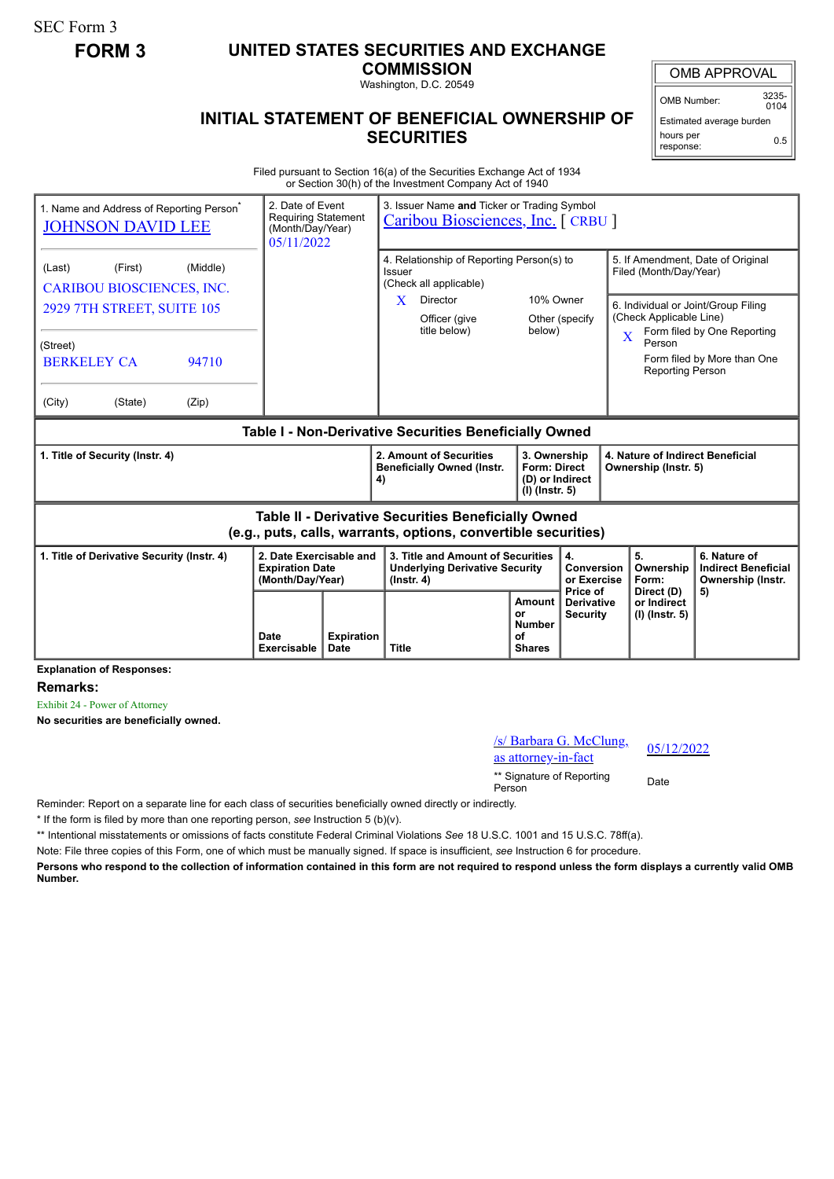SEC Form 3

## **FORM 3 UNITED STATES SECURITIES AND EXCHANGE**

**COMMISSION** Washington, D.C. 20549

OMB APPROVAL

OMB Number: 3235-  $0104$ 

**INITIAL STATEMENT OF BENEFICIAL OWNERSHIP OF SECURITIES**

Estimated average burden hours per response: 0.5

Filed pursuant to Section 16(a) of the Securities Exchange Act of 1934 or Section 30(h) of the Investment Company Act of 1940

| 1. Name and Address of Reporting Person <sup>®</sup><br><b>JOHNSON DAVID LEE</b>                                      | 2. Date of Event<br><b>Requiring Statement</b><br>(Month/Day/Year)<br>05/11/2022 |                           | 3. Issuer Name and Ticker or Trading Symbol<br>Caribou Biosciences, Inc. [CRBU ]               |                                                                            |                                                  |                                                                                                                          |                                                                 |
|-----------------------------------------------------------------------------------------------------------------------|----------------------------------------------------------------------------------|---------------------------|------------------------------------------------------------------------------------------------|----------------------------------------------------------------------------|--------------------------------------------------|--------------------------------------------------------------------------------------------------------------------------|-----------------------------------------------------------------|
| (Middle)<br>(Last)<br>(First)<br><b>CARIBOU BIOSCIENCES, INC.</b>                                                     |                                                                                  |                           | 4. Relationship of Reporting Person(s) to<br>Issuer<br>(Check all applicable)                  |                                                                            |                                                  | 5. If Amendment, Date of Original<br>Filed (Month/Day/Year)                                                              |                                                                 |
| 2929 7TH STREET, SUITE 105                                                                                            |                                                                                  |                           | X.<br>Director<br>Officer (give<br>title below)                                                | 10% Owner<br>below)                                                        | Other (specify                                   | 6. Individual or Joint/Group Filing<br>(Check Applicable Line)<br>Form filed by One Reporting<br>$\overline{\mathbf{X}}$ |                                                                 |
| (Street)<br><b>BERKELEY CA</b><br>94710                                                                               |                                                                                  |                           |                                                                                                |                                                                            |                                                  | Person<br>Form filed by More than One<br><b>Reporting Person</b>                                                         |                                                                 |
| (City)<br>(State)<br>(Zip)                                                                                            |                                                                                  |                           |                                                                                                |                                                                            |                                                  |                                                                                                                          |                                                                 |
| Table I - Non-Derivative Securities Beneficially Owned                                                                |                                                                                  |                           |                                                                                                |                                                                            |                                                  |                                                                                                                          |                                                                 |
| 1. Title of Security (Instr. 4)                                                                                       |                                                                                  |                           | 2. Amount of Securities<br><b>Beneficially Owned (Instr.</b><br>4)                             | 3. Ownership<br><b>Form: Direct</b><br>(D) or Indirect<br>$(I)$ (lnstr. 5) |                                                  | 4. Nature of Indirect Beneficial<br>Ownership (Instr. 5)                                                                 |                                                                 |
| Table II - Derivative Securities Beneficially Owned<br>(e.g., puts, calls, warrants, options, convertible securities) |                                                                                  |                           |                                                                                                |                                                                            |                                                  |                                                                                                                          |                                                                 |
| 2. Date Exercisable and<br>1. Title of Derivative Security (Instr. 4)<br><b>Expiration Date</b><br>(Month/Day/Year)   |                                                                                  |                           | 3. Title and Amount of Securities<br><b>Underlying Derivative Security</b><br>$($ lnstr. 4 $)$ |                                                                            | 4.<br>Conversion<br>or Exercise                  | 5.<br>Ownership<br>Form:                                                                                                 | 6. Nature of<br><b>Indirect Beneficial</b><br>Ownership (Instr. |
|                                                                                                                       | Date<br><b>Exercisable</b>                                                       | <b>Expiration</b><br>Date | <b>Title</b>                                                                                   | <b>Amount</b><br>or<br><b>Number</b><br>Ωf<br><b>Shares</b>                | Price of<br><b>Derivative</b><br><b>Security</b> | Direct (D)<br>or Indirect<br>(I) (Instr. 5)                                                                              | 5)                                                              |

**Explanation of Responses:**

**Remarks:**

Exhibit 24 - Power of Attorney

**No securities are beneficially owned.**

/s/ Barbara G. McClung,  $\frac{8}{18}$  batbata G. McClung,  $\frac{05}{12/2022}$ 

\*\* Signature of Reporting Person Date

Reminder: Report on a separate line for each class of securities beneficially owned directly or indirectly.

\* If the form is filed by more than one reporting person, *see* Instruction 5 (b)(v).

\*\* Intentional misstatements or omissions of facts constitute Federal Criminal Violations *See* 18 U.S.C. 1001 and 15 U.S.C. 78ff(a).

Note: File three copies of this Form, one of which must be manually signed. If space is insufficient, *see* Instruction 6 for procedure.

**Persons who respond to the collection of information contained in this form are not required to respond unless the form displays a currently valid OMB Number.**